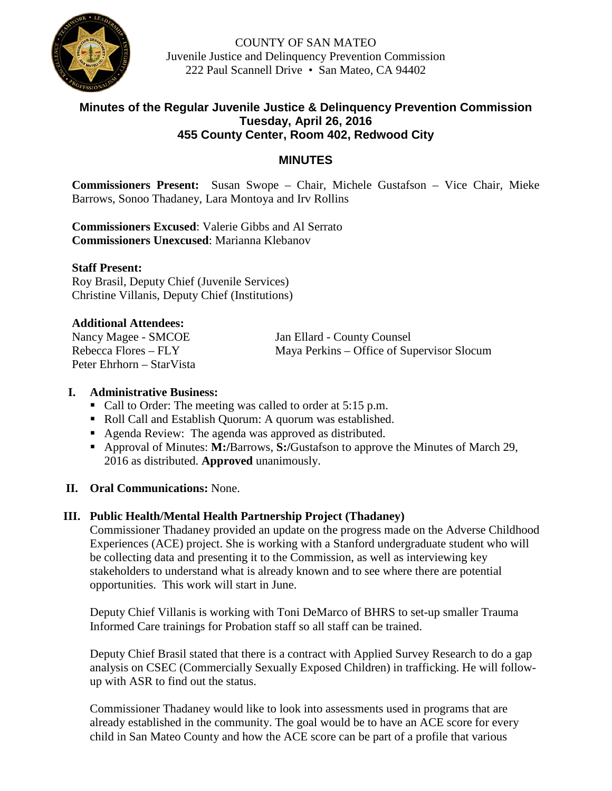

COUNTY OF SAN MATEO Juvenile Justice and Delinquency Prevention Commission 222 Paul Scannell Drive • San Mateo, CA 94402

### **Minutes of the Regular Juvenile Justice & Delinquency Prevention Commission Tuesday, April 26, 2016 455 County Center, Room 402, Redwood City**

## **MINUTES**

**Commissioners Present:** Susan Swope – Chair, Michele Gustafson – Vice Chair, Mieke Barrows, Sonoo Thadaney, Lara Montoya and Irv Rollins

**Commissioners Excused**: Valerie Gibbs and Al Serrato **Commissioners Unexcused**: Marianna Klebanov

#### **Staff Present:**

Roy Brasil, Deputy Chief (Juvenile Services) Christine Villanis, Deputy Chief (Institutions)

#### **Additional Attendees:**

Peter Ehrhorn – StarVista

Nancy Magee - SMCOE Jan Ellard - County Counsel Rebecca Flores – FLY Maya Perkins – Office of Supervisor Slocum

#### **I. Administrative Business:**

- Call to Order: The meeting was called to order at 5:15 p.m.
- Roll Call and Establish Quorum: A quorum was established.
- Agenda Review: The agenda was approved as distributed.
- Approval of Minutes: **M:/**Barrows, **S:/**Gustafson to approve the Minutes of March 29, 2016 as distributed. **Approved** unanimously.
- **II. Oral Communications:** None.

### **III. Public Health/Mental Health Partnership Project (Thadaney)**

Commissioner Thadaney provided an update on the progress made on the Adverse Childhood Experiences (ACE) project. She is working with a Stanford undergraduate student who will be collecting data and presenting it to the Commission, as well as interviewing key stakeholders to understand what is already known and to see where there are potential opportunities. This work will start in June.

Deputy Chief Villanis is working with Toni DeMarco of BHRS to set-up smaller Trauma Informed Care trainings for Probation staff so all staff can be trained.

Deputy Chief Brasil stated that there is a contract with Applied Survey Research to do a gap analysis on CSEC (Commercially Sexually Exposed Children) in trafficking. He will followup with ASR to find out the status.

Commissioner Thadaney would like to look into assessments used in programs that are already established in the community. The goal would be to have an ACE score for every child in San Mateo County and how the ACE score can be part of a profile that various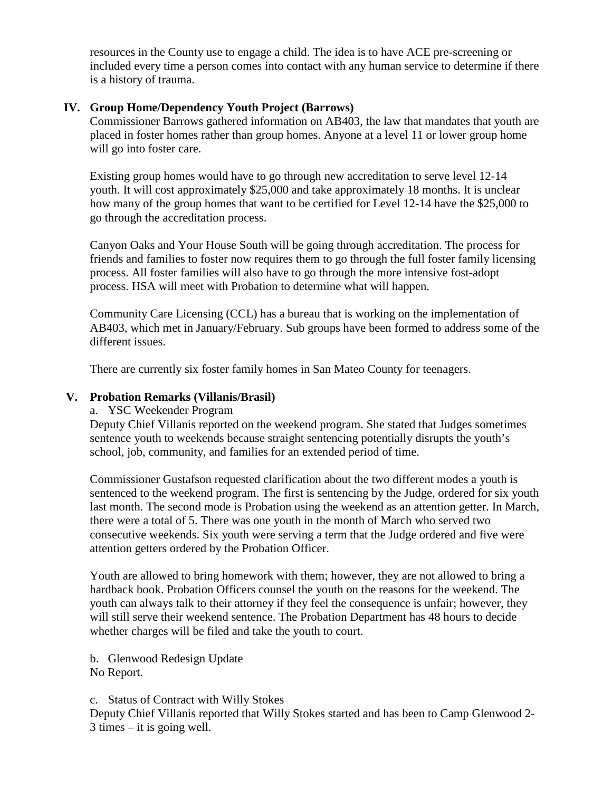resources in the County use to engage a child. The idea is to have ACE pre-screening or included every time a person comes into contact with any human service to determine if there is a history of trauma.

### **IV. Group Home/Dependency Youth Project (Barrows)**

Commissioner Barrows gathered information on AB403, the law that mandates that youth are placed in foster homes rather than group homes. Anyone at a level 11 or lower group home will go into foster care.

Existing group homes would have to go through new accreditation to serve level 12-14 youth. It will cost approximately \$25,000 and take approximately 18 months. It is unclear how many of the group homes that want to be certified for Level 12-14 have the \$25,000 to go through the accreditation process.

Canyon Oaks and Your House South will be going through accreditation. The process for friends and families to foster now requires them to go through the full foster family licensing process. All foster families will also have to go through the more intensive fost-adopt process. HSA will meet with Probation to determine what will happen.

Community Care Licensing (CCL) has a bureau that is working on the implementation of AB403, which met in January/February. Sub groups have been formed to address some of the different issues.

There are currently six foster family homes in San Mateo County for teenagers.

### **V. Probation Remarks (Villanis/Brasil)**

a. YSC Weekender Program

Deputy Chief Villanis reported on the weekend program. She stated that Judges sometimes sentence youth to weekends because straight sentencing potentially disrupts the youth's school, job, community, and families for an extended period of time.

Commissioner Gustafson requested clarification about the two different modes a youth is sentenced to the weekend program. The first is sentencing by the Judge, ordered for six youth last month. The second mode is Probation using the weekend as an attention getter. In March, there were a total of 5. There was one youth in the month of March who served two consecutive weekends. Six youth were serving a term that the Judge ordered and five were attention getters ordered by the Probation Officer.

Youth are allowed to bring homework with them; however, they are not allowed to bring a hardback book. Probation Officers counsel the youth on the reasons for the weekend. The youth can always talk to their attorney if they feel the consequence is unfair; however, they will still serve their weekend sentence. The Probation Department has 48 hours to decide whether charges will be filed and take the youth to court.

b. Glenwood Redesign Update No Report.

c. Status of Contract with Willy Stokes

Deputy Chief Villanis reported that Willy Stokes started and has been to Camp Glenwood 2- 3 times – it is going well.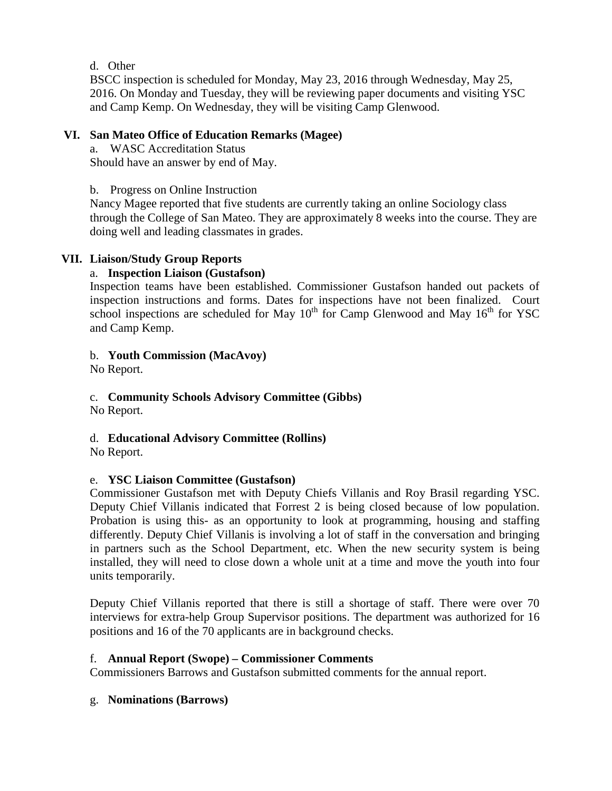d. Other

BSCC inspection is scheduled for Monday, May 23, 2016 through Wednesday, May 25, 2016. On Monday and Tuesday, they will be reviewing paper documents and visiting YSC and Camp Kemp. On Wednesday, they will be visiting Camp Glenwood.

### **VI. San Mateo Office of Education Remarks (Magee)**

a. WASC Accreditation Status Should have an answer by end of May.

b. Progress on Online Instruction

Nancy Magee reported that five students are currently taking an online Sociology class through the College of San Mateo. They are approximately 8 weeks into the course. They are doing well and leading classmates in grades.

## **VII. Liaison/Study Group Reports**

### a. **Inspection Liaison (Gustafson)**

Inspection teams have been established. Commissioner Gustafson handed out packets of inspection instructions and forms. Dates for inspections have not been finalized. Court school inspections are scheduled for May  $10^{th}$  for Camp Glenwood and May  $16^{th}$  for YSC and Camp Kemp.

### b. **Youth Commission (MacAvoy)**

No Report.

c. **Community Schools Advisory Committee (Gibbs)**

No Report.

d. **Educational Advisory Committee (Rollins)**

No Report.

# e. **YSC Liaison Committee (Gustafson)**

Commissioner Gustafson met with Deputy Chiefs Villanis and Roy Brasil regarding YSC. Deputy Chief Villanis indicated that Forrest 2 is being closed because of low population. Probation is using this- as an opportunity to look at programming, housing and staffing differently. Deputy Chief Villanis is involving a lot of staff in the conversation and bringing in partners such as the School Department, etc. When the new security system is being installed, they will need to close down a whole unit at a time and move the youth into four units temporarily.

Deputy Chief Villanis reported that there is still a shortage of staff. There were over 70 interviews for extra-help Group Supervisor positions. The department was authorized for 16 positions and 16 of the 70 applicants are in background checks.

### f. **Annual Report (Swope) – Commissioner Comments**

Commissioners Barrows and Gustafson submitted comments for the annual report.

# g. **Nominations (Barrows)**